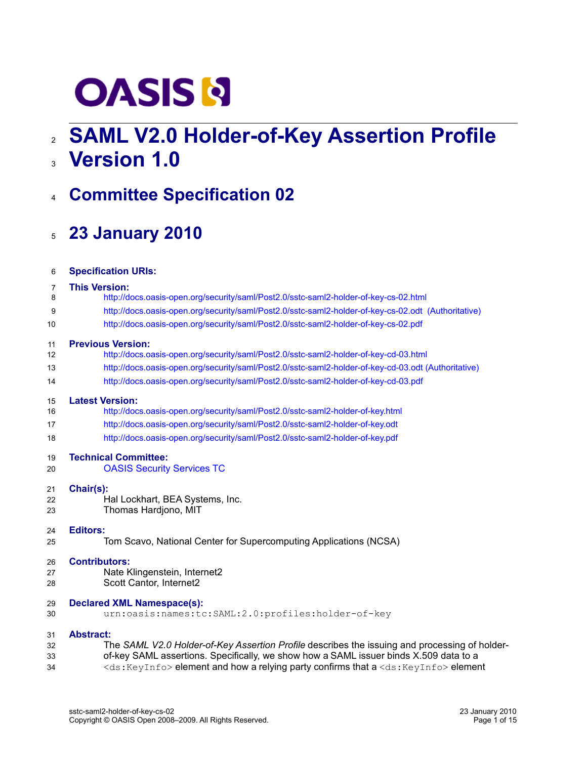# **OASIS N**

# **SAML V2.0 Holder-of-Key Assertion Profile** 2 **Version 1.0** 3

# **Committee Specification 02** 4

# **23 January 2010** 5

| 6  | <b>Specification URIs:</b>                                                                            |
|----|-------------------------------------------------------------------------------------------------------|
| 7  | <b>This Version:</b>                                                                                  |
| 8  | http://docs.oasis-open.org/security/saml/Post2.0/sstc-saml2-holder-of-key-cs-02.html                  |
| 9  | http://docs.oasis-open.org/security/saml/Post2.0/sstc-saml2-holder-of-key-cs-02.odt (Authoritative)   |
| 10 | http://docs.oasis-open.org/security/saml/Post2.0/sstc-saml2-holder-of-key-cs-02.pdf                   |
| 11 | <b>Previous Version:</b>                                                                              |
| 12 | http://docs.oasis-open.org/security/saml/Post2.0/sstc-saml2-holder-of-key-cd-03.html                  |
| 13 | http://docs.oasis-open.org/security/saml/Post2.0/sstc-saml2-holder-of-key-cd-03.odt (Authoritative)   |
| 14 | http://docs.oasis-open.org/security/saml/Post2.0/sstc-saml2-holder-of-key-cd-03.pdf                   |
| 15 | <b>Latest Version:</b>                                                                                |
| 16 | http://docs.oasis-open.org/security/saml/Post2.0/sstc-saml2-holder-of-key.html                        |
| 17 | http://docs.oasis-open.org/security/saml/Post2.0/sstc-saml2-holder-of-key.odt                         |
| 18 | http://docs.oasis-open.org/security/saml/Post2.0/sstc-saml2-holder-of-key.pdf                         |
| 19 | <b>Technical Committee:</b>                                                                           |
| 20 | <b>OASIS Security Services TC</b>                                                                     |
| 21 | Chair(s):                                                                                             |
| 22 | Hal Lockhart, BEA Systems, Inc.                                                                       |
| 23 | Thomas Hardjono, MIT                                                                                  |
| 24 | <b>Editors:</b>                                                                                       |
| 25 | Tom Scavo, National Center for Supercomputing Applications (NCSA)                                     |
| 26 | <b>Contributors:</b>                                                                                  |
| 27 | Nate Klingenstein, Internet2                                                                          |
| 28 | Scott Cantor, Internet2                                                                               |
| 29 | <b>Declared XML Namespace(s):</b>                                                                     |
| 30 | urn:oasis:names:tc:SAML:2.0:profiles:holder-of-key                                                    |
| 31 | <b>Abstract:</b>                                                                                      |
| 32 | The SAML V2.0 Holder-of-Key Assertion Profile describes the issuing and processing of holder-         |
| 33 | of-key SAML assertions. Specifically, we show how a SAML issuer binds X.509 data to a                 |
| 34 | <ds: keyinfo=""> element and how a relying party confirms that a <ds: keyinfo=""> element</ds:></ds:> |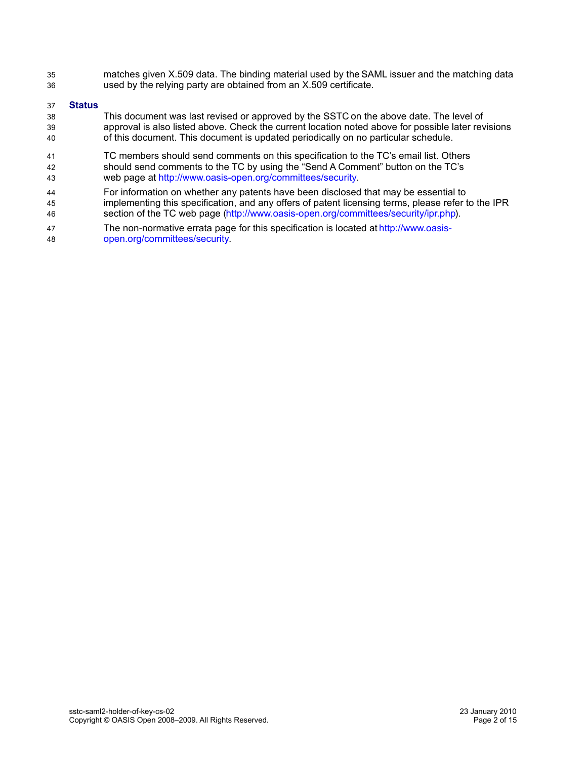matches given X.509 data. The binding material used by the SAML issuer and the matching data used by the relying party are obtained from an X.509 certificate. 35 36

### **Status** 37

- This document was last revised or approved by the SSTC on the above date. The level of approval is also listed above. Check the current location noted above for possible later revisions of this document. This document is updated periodically on no particular schedule. 38 39 40
- TC members should send comments on this specification to the TC's email list. Others should send comments to the TC by using the "Send A Comment" button on the TC's web page at [http://www.oasis-open.org/committees/security.](http://www.oasis-open.org/committees/security) 41 42 43
- For information on whether any patents have been disclosed that may be essential to implementing this specification, and any offers of patent licensing terms, please refer to the IPR 44 45
- section of the TC web page [\(http://www.oasis-open.org/committees/security/ipr.php\)](http://www.oasis-open.org/committees/security/ipr.php). 46
- The non-normative errata page for this specification is located at [http://www.oasis](http://www.oasis-open.org/committees/security)[open.org/committees/security.](http://www.oasis-open.org/committees/security) 47 48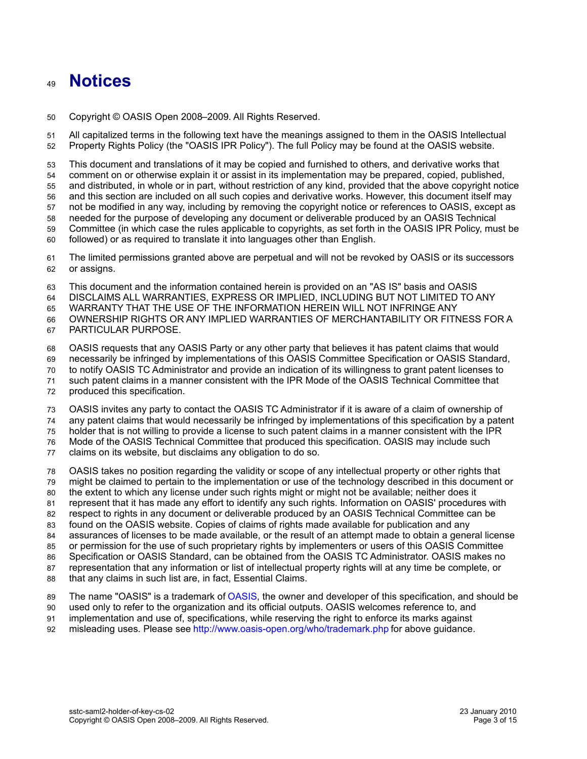## **Notices** 49

Copyright © OASIS Open 2008–2009. All Rights Reserved. 50

All capitalized terms in the following text have the meanings assigned to them in the OASIS Intellectual Property Rights Policy (the "OASIS IPR Policy"). The full Policy may be found at the OASIS website. 51 52

This document and translations of it may be copied and furnished to others, and derivative works that comment on or otherwise explain it or assist in its implementation may be prepared, copied, published, and distributed, in whole or in part, without restriction of any kind, provided that the above copyright notice and this section are included on all such copies and derivative works. However, this document itself may not be modified in any way, including by removing the copyright notice or references to OASIS, except as needed for the purpose of developing any document or deliverable produced by an OASIS Technical Committee (in which case the rules applicable to copyrights, as set forth in the OASIS IPR Policy, must be followed) or as required to translate it into languages other than English. 53 54 55 56 57 58 59 60

The limited permissions granted above are perpetual and will not be revoked by OASIS or its successors or assigns. 61 62

This document and the information contained herein is provided on an "AS IS" basis and OASIS 63

DISCLAIMS ALL WARRANTIES, EXPRESS OR IMPLIED, INCLUDING BUT NOT LIMITED TO ANY 64

WARRANTY THAT THE USE OF THE INFORMATION HEREIN WILL NOT INFRINGE ANY 65

OWNERSHIP RIGHTS OR ANY IMPLIED WARRANTIES OF MERCHANTABILITY OR FITNESS FOR A 66

PARTICULAR PURPOSE. 67

OASIS requests that any OASIS Party or any other party that believes it has patent claims that would 68

necessarily be infringed by implementations of this OASIS Committee Specification or OASIS Standard, 69

to notify OASIS TC Administrator and provide an indication of its willingness to grant patent licenses to 70

such patent claims in a manner consistent with the IPR Mode of the OASIS Technical Committee that 71

produced this specification. 72

OASIS invites any party to contact the OASIS TC Administrator if it is aware of a claim of ownership of 73

any patent claims that would necessarily be infringed by implementations of this specification by a patent 74

holder that is not willing to provide a license to such patent claims in a manner consistent with the IPR 75

Mode of the OASIS Technical Committee that produced this specification. OASIS may include such 76

claims on its website, but disclaims any obligation to do so. 77

OASIS takes no position regarding the validity or scope of any intellectual property or other rights that 78

might be claimed to pertain to the implementation or use of the technology described in this document or 79

the extent to which any license under such rights might or might not be available; neither does it 80

represent that it has made any effort to identify any such rights. Information on OASIS' procedures with respect to rights in any document or deliverable produced by an OASIS Technical Committee can be 81 82

found on the OASIS website. Copies of claims of rights made available for publication and any 83

assurances of licenses to be made available, or the result of an attempt made to obtain a general license 84

or permission for the use of such proprietary rights by implementers or users of this OASIS Committee 85

Specification or OASIS Standard, can be obtained from the OASIS TC Administrator. OASIS makes no 86

representation that any information or list of intellectual property rights will at any time be complete, or 87

that any claims in such list are, in fact, Essential Claims. 88

The name "OASIS" is a trademark of [OASIS,](http://www.oasis-open.org/) the owner and developer of this specification, and should be 89

used only to refer to the organization and its official outputs. OASIS welcomes reference to, and 90

implementation and use of, specifications, while reserving the right to enforce its marks against 91

misleading uses. Please see<http://www.oasis-open.org/who/trademark.php>for above guidance. 92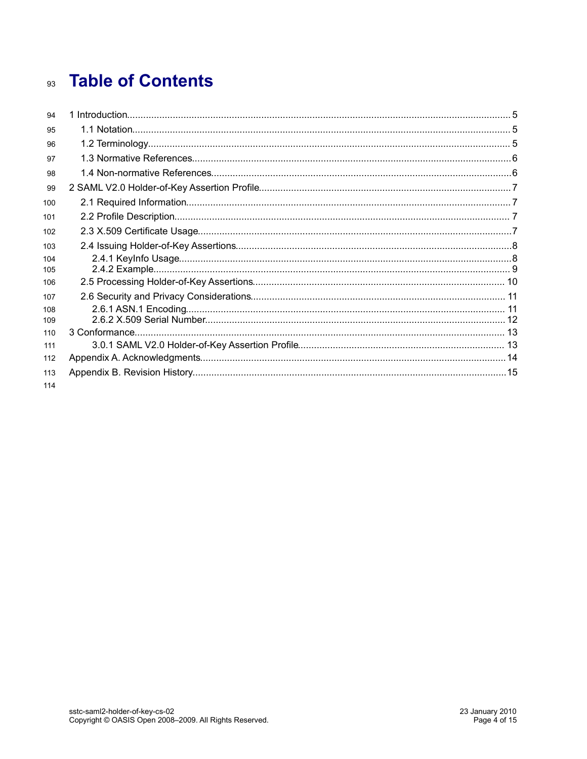# **Table of Contents** 93

| 94         |  |
|------------|--|
| 95         |  |
| 96         |  |
| 97         |  |
| 98         |  |
| 99         |  |
| 100        |  |
| 101        |  |
| 102        |  |
| 103        |  |
| 104<br>105 |  |
| 106        |  |
| 107        |  |
| 108<br>109 |  |
| 110        |  |
| 111        |  |
| 112        |  |
| 113        |  |
| 114        |  |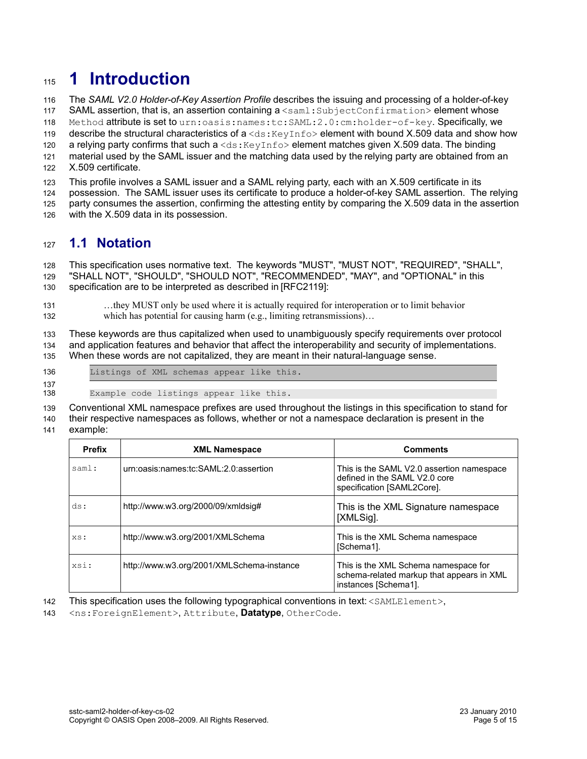# **1 Introduction** 115

The *SAML V2.0 Holder-of-Key Assertion Profile* describes the issuing and processing of a holder-of-key 116

SAML assertion, that is, an assertion containing a <saml: SubjectConfirmation> element whose 117

Method attribute is set to urn: oasis: names: tc: SAML: 2.0: cm: holder-of-key. Specifically, we 118

describe the structural characteristics of  $a < ds : Keylnfo > element$  with bound X.509 data and show how 119

a relying party confirms that such a  $\langle ds : K(y) \rangle$  element matches given X.509 data. The binding 120

material used by the SAML issuer and the matching data used by the relying party are obtained from an X.509 certificate. 121 122

This profile involves a SAML issuer and a SAML relying party, each with an X.509 certificate in its 123

possession. The SAML issuer uses its certificate to produce a holder-of-key SAML assertion. The relying party consumes the assertion, confirming the attesting entity by comparing the X.509 data in the assertion 124 125

with the X.509 data in its possession. 126

### **1.1 Notation** 127

This specification uses normative text. The keywords "MUST", "MUST NOT", "REQUIRED", "SHALL", "SHALL NOT", "SHOULD", "SHOULD NOT", "RECOMMENDED", "MAY", and "OPTIONAL" in this specification are to be interpreted as described in [\[RFC2119\]:](#page-5-0) 128 129 130

…they MUST only be used where it is actually required for interoperation or to limit behavior which has potential for causing harm (e.g., limiting retransmissions)... 131 132

These keywords are thus capitalized when used to unambiguously specify requirements over protocol and application features and behavior that affect the interoperability and security of implementations. When these words are not capitalized, they are meant in their natural-language sense. 133 134 135

- Listings of XML schemas appear like this. 136
- 137

Example code listings appear like this. 138

Conventional XML namespace prefixes are used throughout the listings in this specification to stand for their respective namespaces as follows, whether or not a namespace declaration is present in the example: 139 140 141

| <b>Prefix</b> | <b>XML Namespace</b>                      | <b>Comments</b>                                                                                           |
|---------------|-------------------------------------------|-----------------------------------------------------------------------------------------------------------|
| saml:         | urn:oasis:names:tc:SAML:2.0:assertion     | This is the SAML V2.0 assertion namespace<br>defined in the SAML V2.0 core<br>specification [SAML2Core].  |
| ds:           | http://www.w3.org/2000/09/xmldsig#        | This is the XML Signature namespace<br>[XMLSig].                                                          |
| XS:           | http://www.w3.org/2001/XMLSchema          | This is the XML Schema namespace<br>[Schema1].                                                            |
| xsi:          | http://www.w3.org/2001/XMLSchema-instance | This is the XML Schema namespace for<br>schema-related markup that appears in XML<br>instances [Schema1]. |

This specification uses the following typographical conventions in text: <SAMLElement>, 142

<ns:ForeignElement>, Attribute, **Datatype**, OtherCode. 143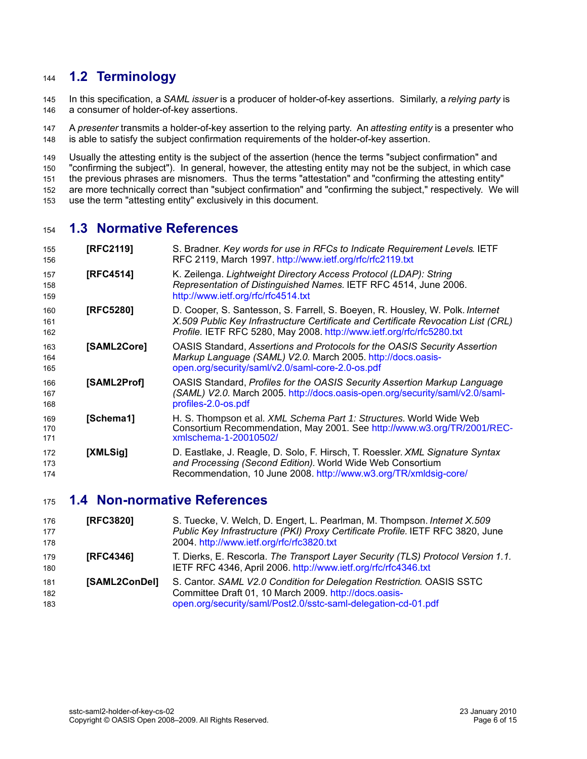### **1.2 Terminology** 144

In this specification, a *SAML issuer* is a producer of holder-of-key assertions. Similarly, a *relying party* is a consumer of holder-of-key assertions. 145 146

A *presenter* transmits a holder-of-key assertion to the relying party. An *attesting entity* is a presenter who is able to satisfy the subject confirmation requirements of the holder-of-key assertion. 147 148

Usually the attesting entity is the subject of the assertion (hence the terms "subject confirmation" and "confirming the subject"). In general, however, the attesting entity may not be the subject, in which case the previous phrases are misnomers. Thus the terms "attestation" and "confirming the attesting entity" are more technically correct than "subject confirmation" and "confirming the subject," respectively. We will use the term "attesting entity" exclusively in this document. 149 150 151 152 153

### **1.3 Normative References** 154

<span id="page-5-7"></span><span id="page-5-4"></span><span id="page-5-3"></span><span id="page-5-0"></span>

| 155<br>156        | [RFC2119]   | S. Bradner. Key words for use in RFCs to Indicate Requirement Levels. IETF<br>RFC 2119, March 1997. http://www.ietf.org/rfc/rfc2119.txt                                                                                                     |
|-------------------|-------------|---------------------------------------------------------------------------------------------------------------------------------------------------------------------------------------------------------------------------------------------|
| 157<br>158<br>159 | [RFC4514]   | K. Zeilenga. Lightweight Directory Access Protocol (LDAP): String<br>Representation of Distinguished Names. IETF RFC 4514, June 2006.<br>http://www.ietf.org/rfc/rfc4514.txt                                                                |
| 160<br>161<br>162 | [RFC5280]   | D. Cooper, S. Santesson, S. Farrell, S. Boeyen, R. Housley, W. Polk. Internet<br>X.509 Public Key Infrastructure Certificate and Certificate Revocation List (CRL)<br>Profile. IETF RFC 5280, May 2008. http://www.ietf.org/rfc/rfc5280.txt |
| 163<br>164<br>165 | [SAML2Core] | OASIS Standard, Assertions and Protocols for the OASIS Security Assertion<br>Markup Language (SAML) V2.0. March 2005. http://docs.oasis-<br>open.org/security/saml/v2.0/saml-core-2.0-os.pdf                                                |
| 166<br>167<br>168 | [SAML2Prof] | OASIS Standard, Profiles for the OASIS Security Assertion Markup Language<br>(SAML) V2.0. March 2005. http://docs.oasis-open.org/security/saml/v2.0/saml-<br>profiles-2.0-os.pdf                                                            |
| 169<br>170<br>171 | [Schema1]   | H. S. Thompson et al. XML Schema Part 1: Structures. World Wide Web<br>Consortium Recommendation, May 2001. See http://www.w3.org/TR/2001/REC-<br>xmlschema-1-20010502/                                                                     |
| 172<br>173<br>174 | [XMLSig]    | D. Eastlake, J. Reagle, D. Solo, F. Hirsch, T. Roessler. XML Signature Syntax<br>and Processing (Second Edition). World Wide Web Consortium<br>Recommendation, 10 June 2008. http://www.w3.org/TR/xmldsig-core/                             |

### <span id="page-5-5"></span><span id="page-5-2"></span><span id="page-5-1"></span>**1.4 Non-normative References** 175

<span id="page-5-9"></span><span id="page-5-8"></span><span id="page-5-6"></span>

| 176<br>177<br>178 | [RFC3820]        | S. Tuecke, V. Welch, D. Engert, L. Pearlman, M. Thompson. Internet X.509<br>Public Key Infrastructure (PKI) Proxy Certificate Profile. IETF RFC 3820, June<br>2004. http://www.ietf.org/rfc/rfc3820.txt |
|-------------------|------------------|---------------------------------------------------------------------------------------------------------------------------------------------------------------------------------------------------------|
| 179<br>180        | <b>IRFC43461</b> | T. Dierks, E. Rescorla. The Transport Layer Security (TLS) Protocol Version 1.1.<br>IETF RFC 4346, April 2006. http://www.ietf.org/rfc/rfc4346.txt                                                      |
| 181<br>182<br>183 | [SAML2ConDel]    | S. Cantor. SAML V2.0 Condition for Delegation Restriction. OASIS SSTC<br>Committee Draft 01, 10 March 2009. http://docs.oasis-<br>open.org/security/saml/Post2.0/sstc-saml-delegation-cd-01.pdf         |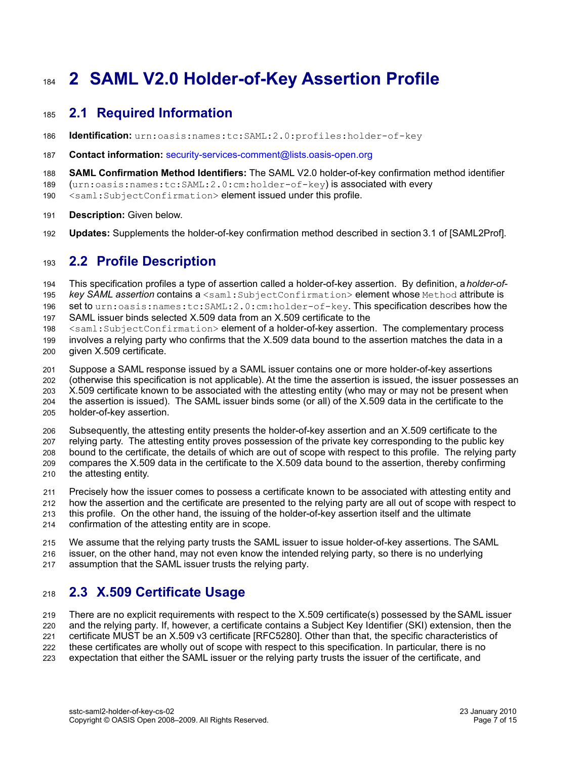# **2 SAML V2.0 Holder-of-Key Assertion Profile** 184

### **2.1 Required Information** 185

- **Identification:** urn:oasis:names:tc:SAML:2.0:profiles:holder-of-key 186
- **Contact information:** [security-services-comment@lists.oasis-open.org](mailto:security-services-comment@lists.oasis-open.org) 187
- **SAML Confirmation Method Identifiers:** The SAML V2.0 holder-of-key confirmation method identifier 188
- (urn:oasis:names:tc:SAML:2.0:cm:holder-of-key) is associated with every 189
- <saml:SubjectConfirmation> element issued under this profile. 190
- **Description:** Given below. 191
- **Updates:** Supplements the holder-of-key confirmation method described in section3.1 of [\[SAML2Prof\].](#page-5-5) 192

### **2.2 Profile Description** 193

This specification profiles a type of assertion called a holder-of-key assertion. By definition, a *holder-of*key SAML assertion contains a <saml:SubjectConfirmation> element whose Method attribute is set to urn:oasis:names:tc:SAML:2.0:cm:holder-of-key. This specification describes how the SAML issuer binds selected X.509 data from an X.509 certificate to the <saml:SubjectConfirmation> element of a holder-of-key assertion. The complementary process 194 195 196 197 198

- involves a relying party who confirms that the X.509 data bound to the assertion matches the data in a given X.509 certificate. 199 200
- 

Suppose a SAML response issued by a SAML issuer contains one or more holder-of-key assertions (otherwise this specification is not applicable). At the time the assertion is issued, the issuer possesses an 201 202

203

- X.509 certificate known to be associated with the attesting entity (who may or may not be present when the assertion is issued). The SAML issuer binds some (or all) of the X.509 data in the certificate to the
- 204
- holder-of-key assertion. 205

Subsequently, the attesting entity presents the holder-of-key assertion and an X.509 certificate to the relying party. The attesting entity proves possession of the private key corresponding to the public key bound to the certificate, the details of which are out of scope with respect to this profile. The relying party compares the X.509 data in the certificate to the X.509 data bound to the assertion, thereby confirming 206 207 208 209

- the attesting entity. 210
- Precisely how the issuer comes to possess a certificate known to be associated with attesting entity and 211
- how the assertion and the certificate are presented to the relying party are all out of scope with respect to 212
- this profile. On the other hand, the issuing of the holder-of-key assertion itself and the ultimate 213
- confirmation of the attesting entity are in scope. 214
- We assume that the relying party trusts the SAML issuer to issue holder-of-key assertions. The SAML 215
- issuer, on the other hand, may not even know the intended relying party, so there is no underlying 216
- assumption that the SAML issuer trusts the relying party. 217

### <span id="page-6-0"></span>**2.3 X.509 Certificate Usage** 218

There are no explicit requirements with respect to the X.509 certificate(s) possessed by the SAML issuer and the relying party. If, however, a certificate contains a Subject Key Identifier (SKI) extension, then the certificate MUST be an X.509 v3 certificate [\[RFC5280\].](#page-5-4) Other than that, the specific characteristics of these certificates are wholly out of scope with respect to this specification. In particular, there is no 219 220 221 222

expectation that either the SAML issuer or the relying party trusts the issuer of the certificate, and 223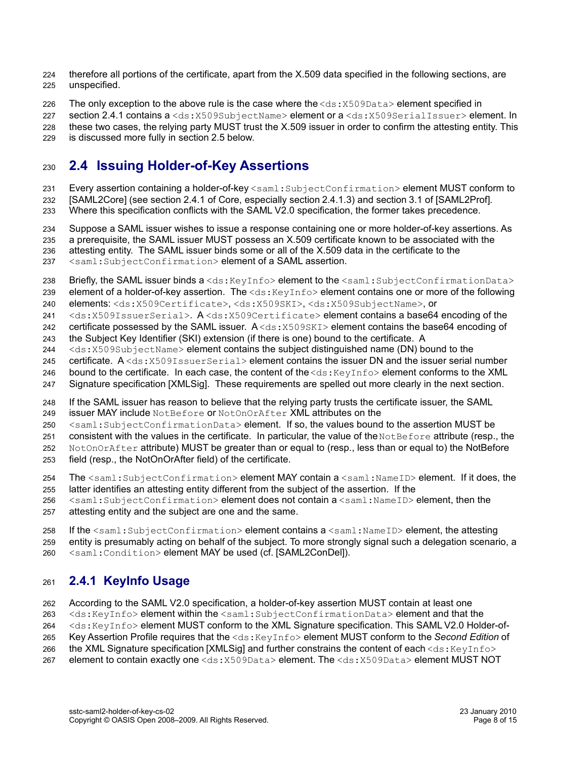therefore all portions of the certificate, apart from the X.509 data specified in the following sections, are unspecified.  $224$ 225

The only exception to the above rule is the case where the  $\langle ds: X509Data \rangle$  element specified in 226

section [2.4.1](#page-7-0) contains a <ds: X509SubjectName> element or a <ds: X509SerialIssuer> element. In these two cases, the relying party MUST trust the X.509 issuer in order to confirm the attesting entity. This is discussed more fully in section [2.5](#page-9-0) below. 227 228 229

### <span id="page-7-1"></span>**2.4 Issuing Holder-of-Key Assertions** 230

Every assertion containing a holder-of-key <saml:SubjectConfirmation>element MUST conform to 231

[\[SAML2Core\]](#page-5-3) (see section 2.4.1 of Core, especially section 2.4.1.3) and section 3.1 of [\[SAML2Prof\].](#page-5-5) 232

Where this specification conflicts with the SAML V2.0 specification, the former takes precedence. 233

Suppose a SAML issuer wishes to issue a response containing one or more holder-of-key assertions. As a prerequisite, the SAML issuer MUST possess an X.509 certificate known to be associated with the attesting entity. The SAML issuer binds some or all of the X.509 data in the certificate to the 234 235 236

<saml:SubjectConfirmation> element of a SAML assertion. 237

Briefly, the SAML issuer binds  $a < ds$ : KeyInfo> element to the  $\langle$ saml: SubjectConfirmationData> 238

element of a holder-of-key assertion. The  $\langle ds : KeyInf \circ \rangle$  element contains one or more of the following elements: <ds:X509Certificate>, <ds:X509SKI>, <ds:X509SubjectName>, or 239 240

<ds:X509IssuerSerial>. A <ds:X509Certificate> element contains a base64 encoding of the 241

certificate possessed by the SAML issuer. A <ds:  $x509$ SKI> element contains the base64 encoding of 242

the Subject Key Identifier (SKI) extension (if there is one) bound to the certificate. A 243

<ds:X509SubjectName> element contains the subject distinguished name (DN) bound to the 244

certificate.  $A \leq d s : X509I$ ssuerSerial> element contains the issuer DN and the issuer serial number 245

bound to the certificate. In each case, the content of the  $\langle ds : KeyInf \circ > \text{element}$  conforms to the XML 246

Signature specification [\[XMLSig\].](#page-5-2) These requirements are spelled out more clearly in the next section. 247

If the SAML issuer has reason to believe that the relying party trusts the certificate issuer, the SAML 248

issuer MAY include NotBefore or NotOnOrAfter XML attributes on the 249

<saml:SubjectConfirmationData> element. If so, the values bound to the assertion MUST be 250

consistent with the values in the certificate. In particular, the value of the NotBefore attribute (resp., the 251

NotOnOrAfter attribute) MUST be greater than or equal to (resp., less than or equal to) the NotBefore 252

field (resp., the NotOnOrAfter field) of the certificate. 253

The <saml: SubjectConfirmation> element MAY contain a <saml:NameID> element. If it does, the 254

latter identifies an attesting entity different from the subject of the assertion. If the 255

<saml:SubjectConfirmation> element does not contain a <saml:NameID> element, then the attesting entity and the subject are one and the same. 256 257

If the  $\leq$ saml:SubjectConfirmation> element contains a  $\leq$ saml:NameID> element, the attesting 258

entity is presumably acting on behalf of the subject. To more strongly signal such a delegation scenario, a 259

<saml:Condition> element MAY be used (cf. [\[SAML2ConDel\]\)](#page-5-6). 260

### <span id="page-7-0"></span>**2.4.1 KeyInfo Usage** 261

According to the SAML V2.0 specification, a holder-of-key assertion MUST contain at least one 262

<ds:KeyInfo> element within the <saml:SubjectConfirmationData> element and that the 263

<ds:KeyInfo> element MUST conform to the XML Signature specification. This SAML V2.0 Holder-of-264

Key Assertion Profile requires that the <ds:KeyInfo> element MUST conform to the *Second Edition* of 265

the XML Signature specification [\[XMLSig\]](#page-5-2) and further constrains the content of each <ds: KeyInfo> 266

element to contain exactly one <ds:X509Data> element. The <ds:X509Data> element MUST NOT 267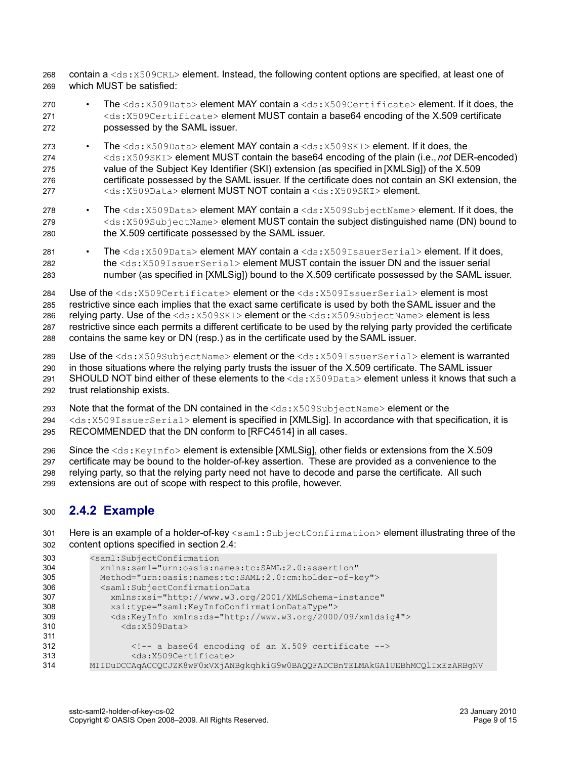contain a <ds:X509CRL> element. Instead, the following content options are specified, at least one of which MUST be satisfied: 268 269

- The <ds:X509Data> element MAY contain a <ds:X509Certificate> element. If it does, the <ds:X509Certificate> element MUST contain a base64 encoding of the X.509 certificate possessed by the SAML issuer. 270 271 272
- The <ds:X509Data> element MAY contain a <ds:X509SKI> element. If it does, the <ds:X509SKI> element MUST contain the base64 encoding of the plain (i.e., *not* DER-encoded) value of the Subject Key Identifier (SKI) extension (as specified in [\[XMLSig\]\)](#page-5-2) of the X.509 certificate possessed by the SAML issuer. If the certificate does not contain an SKI extension, the <ds:X509Data> element MUST NOT contain a <ds:X509SKI> element. 273 274 275 276 277
- The <ds:X509Data> element MAY contain a <ds:X509SubjectName> element. If it does, the <ds:X509SubjectName> element MUST contain the subject distinguished name (DN) bound to the X.509 certificate possessed by the SAML issuer. 278 279 280
- The  $<$ ds:X509Data> element MAY contain a $<$ ds:X509IssuerSerial> element. If it does, the <ds:X509IssuerSerial> element MUST contain the issuer DN and the issuer serial number (as specified in [\[XMLSig\]\)](#page-5-2) bound to the X.509 certificate possessed by the SAML issuer. 281 282 283

Use of the <ds:X509Certificate> element or the <ds:X509IssuerSerial> element is most restrictive since each implies that the exact same certificate is used by both the SAML issuer and the relying party. Use of the <ds:X509SKI> element or the <ds:X509SubjectName> element is less restrictive since each permits a different certificate to be used by the relying party provided the certificate 284 285 286 287

contains the same key or DN (resp.) as in the certificate used by the SAML issuer. 288

Use of the <ds:X509SubjectName> element or the <ds:X509IssuerSerial> element is warranted in those situations where the relying party trusts the issuer of the X.509 certificate. The SAML issuer SHOULD NOT bind either of these elements to the  $\langle ds:X509Data\rangle$  element unless it knows that such a trust relationship exists. 289  $290$ 291 292

Note that the format of the DN contained in the  $\langle ds:X509SubjectName>$  element or the 293

<ds:X509IssuerSerial> element is specified in [\[XMLSig\].](#page-5-2) In accordance with that specification, it is RECOMMENDED that the DN conform to [\[RFC4514\]](#page-5-7) in all cases. 294 295

Since the  $\langle ds:KeyInfo\rangle$  element is extensible [\[XMLSig\],](#page-5-2) other fields or extensions from the X.509 certificate may be bound to the holder-of-key assertion. These are provided as a convenience to the relying party, so that the relying party need not have to decode and parse the certificate. All such extensions are out of scope with respect to this profile, however. 296 297 298 299

### **2.4.2 Example** 300

Here is an example of a holder-of-key <saml:SubjectConfirmation> element illustrating three of the content options specified in section [2.4:](#page-7-1) 301 302

```
<saml:SubjectConfirmation
            xmlns:saml="urn:oasis:names:tc:SAML:2.0:assertion" 
            Method="urn:oasis:names:tc:SAML:2.0:cm:holder-of-key">
            <saml:SubjectConfirmationData 
               xmlns:xsi="http://www.w3.org/2001/XMLSchema-instance"
               xsi:type="saml:KeyInfoConfirmationDataType">
               <ds:KeyInfo xmlns:ds="http://www.w3.org/2000/09/xmldsig#">
                 <ds:X509Data>
                   <!-- a base64 encoding of an X.509 certificate -->
                   <ds:X509Certificate>
         MIIDuDCCAqACCQCJZK8wF0xVXjANBgkqhkiG9w0BAQQFADCBnTELMAkGA1UEBhMCQlIxEzARBgNV
303
304
305
306
307
308
309
310
311
312
313
314
```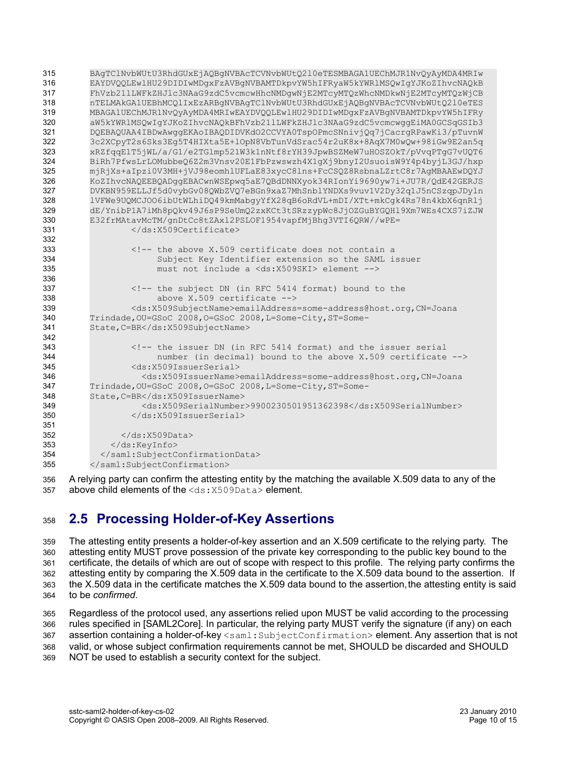BAgTClNvbWUtU3RhdGUxEjAQBgNVBAcTCVNvbWUtQ2l0eTESMBAGA1UEChMJR1NvQyAyMDA4MRIw EAYDVQQLEwlHU29DIDIwMDgxFzAVBgNVBAMTDkpvYW5hIFRyaW5kYWRlMSQwIgYJKoZIhvcNAQkB FhVzb21lLWFkZHJlc3NAaG9zdC5vcmcwHhcNMDgwNjE2MTcyMTQzWhcNMDkwNjE2MTcyMTQzWjCB nTELMAkGA1UEBhMCQlIxEzARBgNVBAgTClNvbWUtU3RhdGUxEjAQBgNVBAcTCVNvbWUtQ2l0eTES MBAGA1UEChMJR1NvQyAyMDA4MRIwEAYDVQQLEwlHU29DIDIwMDgxFzAVBgNVBAMTDkpvYW5hIFRy aW5kYWRlMSQwIgYJKoZIhvcNAQkBFhVzb21lLWFkZHJlc3NAaG9zdC5vcmcwggEiMA0GCSqGSIb3 DQEBAQUAA4IBDwAwggEKAoIBAQDIDVKdO2CCVYA0TspOPmcSNnivjQq7jCacrgRPawKi3/pTuvnW 3c2XCpyT2s6Sks3Eg5T4HIXta5E+lOpN8VbTunVdSrac54r2uK8x+8AqX7M0wQw+98iGw9E2an5q xRZfqqE1T5jWL/a/G1/e2TGlmp521W3k1nNtf8rYH39JpwBSZMeW7uHOSZOkT/pVvqPTgG7vUQT6 BiRh7PfwsLrLOMubbeQ6Z2m3Vnsv20E1FbPzwswzh4X1gXj9bnyI2UsuoisW9Y4p4byjL3GJ/hxp mjRjXs+aIpzi0V3MH+jVJ98eomhlUFLaE83xycC8lns+FcCSQZ8RsbnaLZrtC8r7AgMBAAEwDQYJ KoZIhvcNAQEEBQADggEBACwnWSEpwq5aE7QBdDNNXyok34RIonYi9690yw7i+JU7R/QdE42GERJS DVKBN959ELLJf5d0vybGv08QWbZVQ7eBGn9xaZ7MhSnblYNDXs9vuv1V2Dy32q1J5nCSzqpJDyln lVFWe9UQMCJOO6ibUtWLhiDQ49kmMabgyYfX28qB6oRdVL+mDI/XTt+mkCgk4Rs78n4kbX6qnRlj dE/YnibP1A7iMh8pQkv49J6sP9SeUmQ2zxKCt3tSRzzypWc8JjOZGuBYGQHl9Xm7WEs4CXS7iZJW E32frMAtavMcTM/gnDtCc8tZAxl2PSLOF1954vapfMjBhg3VTI6QRW//wPE= </ds:X509Certificate> <!-- the above X.509 certificate does not contain a Subject Key Identifier extension so the SAML issuer must not include a <ds:X509SKI> element --> <!-- the subject DN (in RFC 5414 format) bound to the above X.509 certificate --> <ds:X509SubjectName>emailAddress=some-address@host.org,CN=Joana Trindade, OU=GSoC 2008, O=GSoC 2008, L=Some-City, ST=Some-State,C=BR</ds:X509SubjectName> <!-- the issuer DN (in RFC 5414 format) and the issuer serial number (in decimal) bound to the above X.509 certificate --> <ds:X509IssuerSerial> <ds:X509IssuerName>emailAddress=some-address@host.org,CN=Joana Trindade, OU=GSoC 2008, O=GSoC 2008, L=Some-City, ST=Some-State,C=BR</ds:X509IssuerName> <ds:X509SerialNumber>9900230501951362398</ds:X509SerialNumber> </ds:X509IssuerSerial>  $\langle$ /ds:X509Data> </ds:KeyInfo> </saml:SubjectConfirmationData> </saml:SubjectConfirmation> 315 316 317 318 319 320 321 322 323 324 325 326 327 328 329 330 331 332 333 334 335 336 337 338 339 340 341 342 343 344 345 346 347 348 349 350 351 352 353 354 355

A relying party can confirm the attesting entity by the matching the available X.509 data to any of the above child elements of the <ds: X509Data> element. 356 357

### <span id="page-9-0"></span>**2.5 Processing Holder-of-Key Assertions** 358

The attesting entity presents a holder-of-key assertion and an X.509 certificate to the relying party. The attesting entity MUST prove possession of the private key corresponding to the public key bound to the certificate, the details of which are out of scope with respect to this profile. The relying party confirms the attesting entity by comparing the X.509 data in the certificate to the X.509 data bound to the assertion. If the X.509 data in the certificate matches the X.509 data bound to the assertion, the attesting entity is said to be *confirmed*. 359 360 361 362 363 364

Regardless of the protocol used, any assertions relied upon MUST be valid according to the processing rules specified in [\[SAML2Core\].](#page-5-3) In particular, the relying party MUST verify the signature (if any) on each assertion containing a holder-of-key <saml:SubjectConfirmation> element. Any assertion that is not valid, or whose subject confirmation requirements cannot be met, SHOULD be discarded and SHOULD NOT be used to establish a security context for the subject. 365 366 367 368 369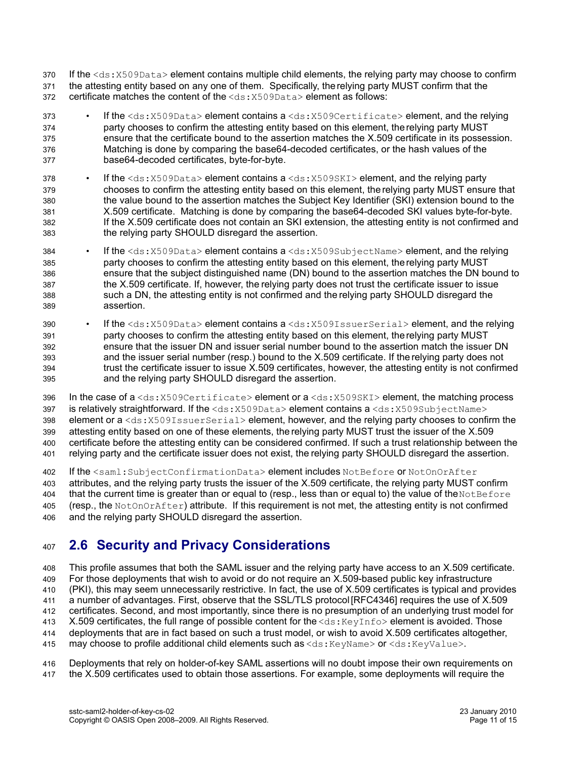- If the <ds:X509Data> element contains multiple child elements, the relying party may choose to confirm the attesting entity based on any one of them. Specifically, the relying party MUST confirm that the certificate matches the content of the  $\langle ds: X509Data \rangle$  element as follows: 370 371 372
- If the  $<$ ds:X509Data> element contains a  $<$ ds:X509Certificate> element, and the relying party chooses to confirm the attesting entity based on this element, the relying party MUST ensure that the certificate bound to the assertion matches the X.509 certificate in its possession. Matching is done by comparing the base64-decoded certificates, or the hash values of the base64-decoded certificates, byte-for-byte. 373 374 375 376 377
- If the  $<$ ds:X509Data> element contains a  $<$ ds:X509SKI> element, and the relying party chooses to confirm the attesting entity based on this element, the relying party MUST ensure that the value bound to the assertion matches the Subject Key Identifier (SKI) extension bound to the X.509 certificate. Matching is done by comparing the base64-decoded SKI values byte-for-byte. If the X.509 certificate does not contain an SKI extension, the attesting entity is not confirmed and the relying party SHOULD disregard the assertion. 378 379 380 381 382 383
- If the <ds:X509Data> element contains a <ds:X509SubjectName> element, and the relying party chooses to confirm the attesting entity based on this element, the relying party MUST ensure that the subject distinguished name (DN) bound to the assertion matches the DN bound to the X.509 certificate. If, however, the relying party does not trust the certificate issuer to issue such a DN, the attesting entity is not confirmed and the relying party SHOULD disregard the assertion. 384 385 386 387 388 389
- If the <ds:X509Data> element contains a <ds:X509IssuerSerial> element, and the relying party chooses to confirm the attesting entity based on this element, the relying party MUST ensure that the issuer DN and issuer serial number bound to the assertion match the issuer DN and the issuer serial number (resp.) bound to the X.509 certificate. If the relying party does not trust the certificate issuer to issue X.509 certificates, however, the attesting entity is not confirmed and the relying party SHOULD disregard the assertion. 390 391 392 393 394 395
- In the case of  $a < ds : X509Certificate > element$  or  $a < ds : X509SKI > element$ , the matching process is relatively straightforward. If the  $<$ ds:  $X509$ Data> element contains a  $<$ ds:  $X509$ SubjectName> element or a <ds: X509IssuerSerial> element, however, and the relying party chooses to confirm the attesting entity based on one of these elements, the relying party MUST trust the issuer of the X.509 certificate before the attesting entity can be considered confirmed. If such a trust relationship between the relying party and the certificate issuer does not exist, the relying party SHOULD disregard the assertion. 396 397 398 399 400 401
- If the <saml:SubjectConfirmationData> element includes NotBefore or NotOnOrAfter 402
- attributes, and the relying party trusts the issuer of the X.509 certificate, the relying party MUST confirm that the current time is greater than or equal to (resp., less than or equal to) the value of the NotBefore (resp., the NotOnOrAfter) attribute. If this requirement is not met, the attesting entity is not confirmed and the relying party SHOULD disregard the assertion. 403 404 405 406

### **2.6 Security and Privacy Considerations** 407

This profile assumes that both the SAML issuer and the relying party have access to an X.509 certificate. For those deployments that wish to avoid or do not require an X.509-based public key infrastructure (PKI), this may seem unnecessarily restrictive. In fact, the use of X.509 certificates is typical and provides a number of advantages. First, observe that the SSL/TLS protocol [\[RFC4346\]](#page-5-8) requires the use of X.509 certificates. Second, and most importantly, since there is no presumption of an underlying trust model for X.509 certificates, the full range of possible content for the  $\langle ds: KeyInf \circ \rangle$  element is avoided. Those deployments that are in fact based on such a trust model, or wish to avoid X.509 certificates altogether, may choose to profile additional child elements such as <ds:KeyName> or <ds:KeyValue>. 408 409 410 411 412 413 414 415

Deployments that rely on holder-of-key SAML assertions will no doubt impose their own requirements on the X.509 certificates used to obtain those assertions. For example, some deployments will require the 416 417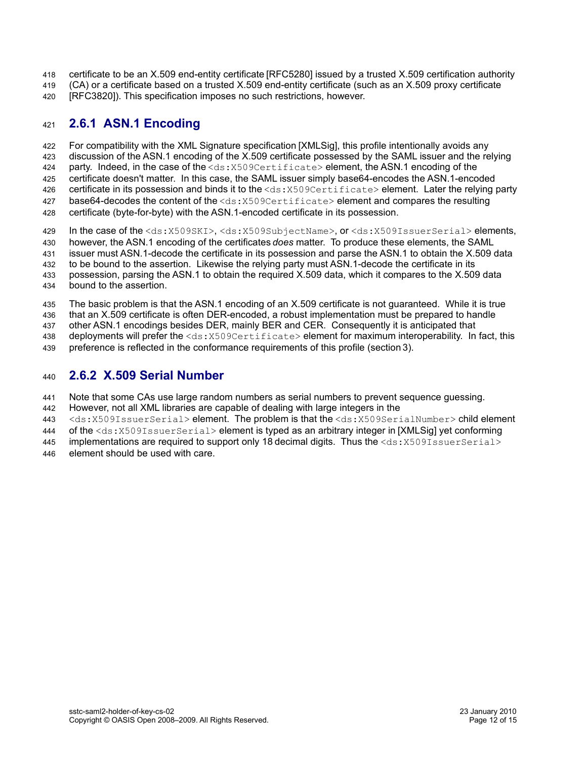- certificate to be an X.509 end-entity certificate [\[RFC5280\]](#page-5-4) issued by a trusted X.509 certification authority 418
- (CA) or a certificate based on a trusted X.509 end-entity certificate (such as an X.509 proxy certificate 419
- [\[RFC3820\]\)](#page-5-9). This specification imposes no such restrictions, however. 420

### **2.6.1 ASN.1 Encoding** 421

For compatibility with the XML Signature specification [\[XMLSig\],](#page-5-2) this profile intentionally avoids any discussion of the ASN.1 encoding of the X.509 certificate possessed by the SAML issuer and the relying party. Indeed, in the case of the <ds: X509Certificate> element, the ASN.1 encoding of the certificate doesn't matter. In this case, the SAML issuer simply base64-encodes the ASN.1-encoded certificate in its possession and binds it to the <ds: X509Certificate> element. Later the relying party base64-decodes the content of the <ds: X509Certificate> element and compares the resulting certificate (byte-for-byte) with the ASN.1-encoded certificate in its possession. 422 423 424 425 426 427 428

In the case of the <ds:X509SKI>, <ds:X509SubjectName>, or <ds:X509IssuerSerial> elements, however, the ASN.1 encoding of the certificates *does* matter. To produce these elements, the SAML issuer must ASN.1-decode the certificate in its possession and parse the ASN.1 to obtain the X.509 data to be bound to the assertion. Likewise the relying party must ASN.1-decode the certificate in its possession, parsing the ASN.1 to obtain the required X.509 data, which it compares to the X.509 data bound to the assertion. 429 430 431 432 433 434

The basic problem is that the ASN.1 encoding of an X.509 certificate is not guaranteed. While it is true that an X.509 certificate is often DER-encoded, a robust implementation must be prepared to handle other ASN.1 encodings besides DER, mainly BER and CER. Consequently it is anticipated that deployments will prefer the <ds:X509Certificate> element for maximum interoperability. In fact, this 435 436 437 438

preference is reflected in the conformance requirements of this profile (section[3\)](#page-12-0). 439

### **2.6.2 X.509 Serial Number** 440

Note that some CAs use large random numbers as serial numbers to prevent sequence quessing. 441

However, not all XML libraries are capable of dealing with large integers in the 442

<ds:X509IssuerSerial> element. The problem is that the <ds:X509SerialNumber> child element 443

- of the <ds:X509IssuerSerial> element is typed as an arbitrary integer in [\[XMLSig\]](#page-5-2) yet conforming 444
- implementations are required to support only 18 decimal digits. Thus the  $\langle ds: X509IssuerSerial$ element should be used with care. 445 446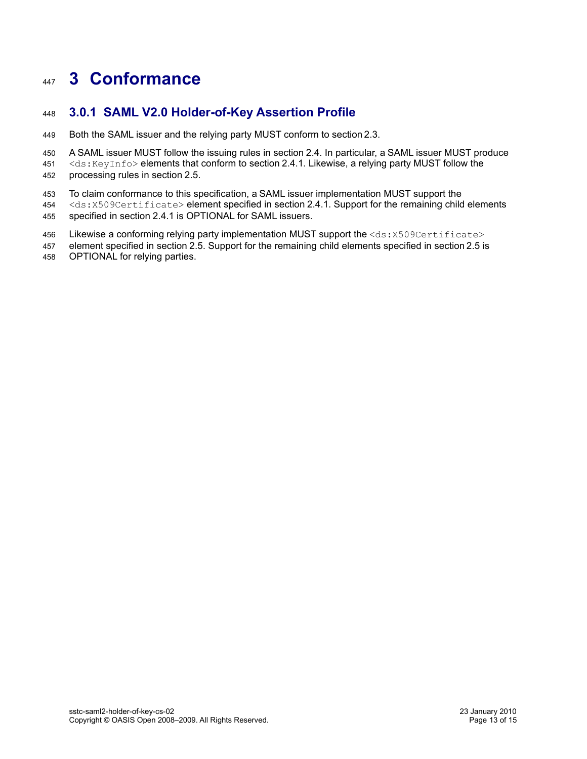# <span id="page-12-0"></span>**3 Conformance** 447

### **3.0.1 SAML V2.0 Holder-of-Key Assertion Profile** 448

- Both the SAML issuer and the relying party MUST conform to section[2.3.](#page-6-0) 449
- A SAML issuer MUST follow the issuing rules in section [2.4.](#page-7-1) In particular, a SAML issuer MUST produce 450
- <ds:KeyInfo> elements that conform to section [2.4.1.](#page-7-0) Likewise, a relying party MUST follow the processing rules in section [2.5.](#page-9-0) 451 452
- To claim conformance to this specification, a SAML issuer implementation MUST support the 453
- <ds:X509Certificate> element specified in section [2.4.1.](#page-7-0) Support for the remaining child elements specified in section [2.4.1](#page-7-0) is OPTIONAL for SAML issuers. 454 455
- Likewise a conforming relying party implementation MUST support the  $\text{ds}:X509\text{Certificate}\text{>}$ 456
- element specified in section [2.5.](#page-9-0) Support for the remaining child elements specified in section[2.5](#page-9-0) is OPTIONAL for relying parties. 457 458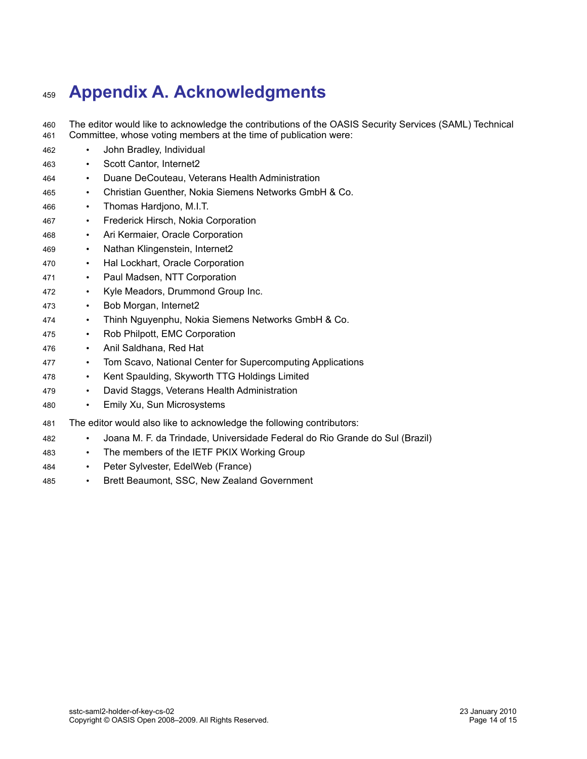# **Appendix A. Acknowledgments** 459

- The editor would like to acknowledge the contributions of the OASIS Security Services (SAML) Technical Committee, whose voting members at the time of publication were: 460 461
- John Bradley, Individual 462
- Scott Cantor, Internet2 463
- Duane DeCouteau, Veterans Health Administration 464
- Christian Guenther, Nokia Siemens Networks GmbH & Co. 465
- Thomas Hardjono, M.I.T. 466
- Frederick Hirsch, Nokia Corporation 467
- Ari Kermaier, Oracle Corporation 468
- Nathan Klingenstein, Internet2 469
- Hal Lockhart, Oracle Corporation 470
- Paul Madsen, NTT Corporation 471
- Kyle Meadors, Drummond Group Inc. 472
- Bob Morgan, Internet2 473
- Thinh Nguyenphu, Nokia Siemens Networks GmbH & Co. 474
- Rob Philpott, EMC Corporation 475
- Anil Saldhana, Red Hat 476
- Tom Scavo, National Center for Supercomputing Applications 477
- Kent Spaulding, Skyworth TTG Holdings Limited 478
- David Staggs, Veterans Health Administration 479
- Emily Xu, Sun Microsystems 480
- The editor would also like to acknowledge the following contributors: 481
- Joana M. F. da Trindade, Universidade Federal do Rio Grande do Sul (Brazil) 482
- The members of the IETF PKIX Working Group 483
- Peter Sylvester, EdelWeb (France) 484
- Brett Beaumont, SSC, New Zealand Government 485